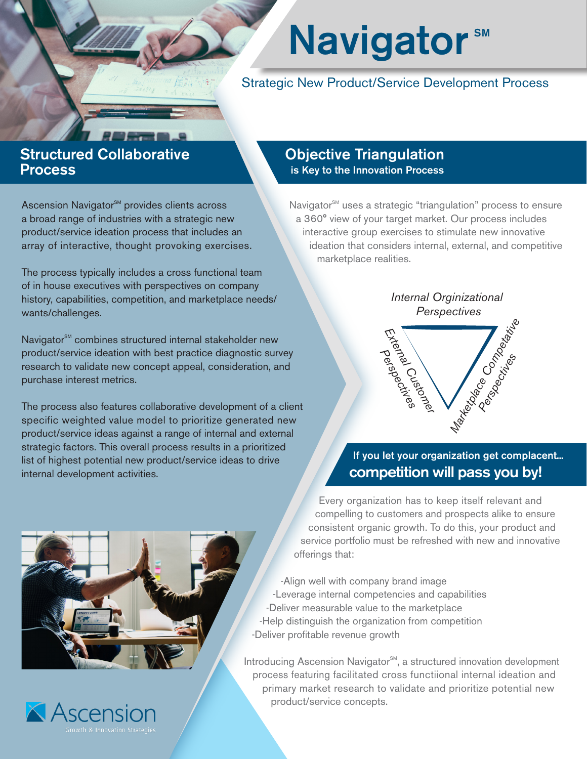## **Navigator**<sup>5M</sup>

Strategic New Product/Service Development Process

## Structured Collaborative Process

Ascension Navigator<sup>SM</sup> provides clients across a broad range of industries with a strategic new product/service ideation process that includes an array of interactive, thought provoking exercises.

The process typically includes a cross functional team of in house executives with perspectives on company history, capabilities, competition, and marketplace needs/ wants/challenges.

Navigator<sup>SM</sup> combines structured internal stakeholder new product/service ideation with best practice diagnostic survey research to validate new concept appeal, consideration, and purchase interest metrics.

The process also features collaborative development of a client specific weighted value model to prioritize generated new product/service ideas against a range of internal and external strategic factors. This overall process results in a prioritized list of highest potential new product/service ideas to drive internal development activities.

## Objective Triangulation is Key to the Innovation Process

Navigator<sup>SM</sup> uses a strategic "triangulation" process to ensure a 360° view of your target market. Our process includes interactive group exercises to stimulate new innovative ideation that considers internal, external, and competitive marketplace realities.



If you let your organization get complacent... competition will pass you by!

Every organization has to keep itself relevant and compelling to customers and prospects alike to ensure consistent organic growth. To do this, your product and service portfolio must be refreshed with new and innovative offerings that:

-Align well with company brand image -Leverage internal competencies and capabilities -Deliver measurable value to the marketplace -Help distinguish the organization from competition -Deliver profitable revenue growth

Introducing Ascension Navigator<sup>SM</sup>, a structured innovation development process featuring facilitated cross functiional internal ideation and primary market research to validate and prioritize potential new product/service concepts.